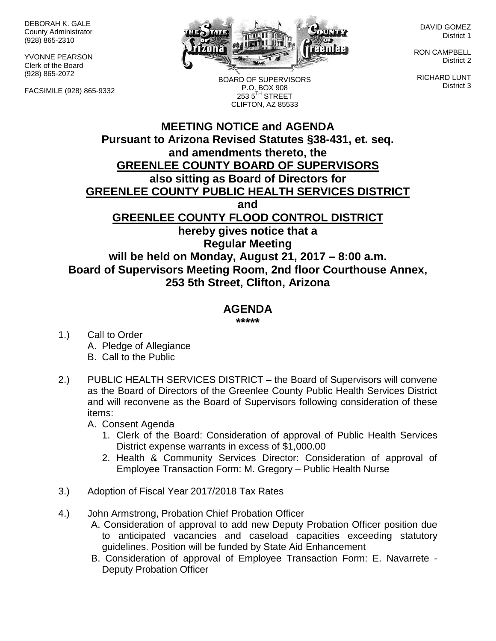DEBORAH K. GALE County Administrator (928) 865-2310

YVONNE PEARSON Clerk of the Board (928) 865-2072

FACSIMILE (928) 865-9332



BOARD OF SUPERVISORS P.O. BOX 908  $2535^{\text{TH}}$  STREET CLIFTON, AZ 85533

DAVID GOMEZ District 1

RON CAMPBELL District 2

RICHARD LUNT District 3

## **MEETING NOTICE and AGENDA Pursuant to Arizona Revised Statutes §38-431, et. seq. and amendments thereto, the GREENLEE COUNTY BOARD OF SUPERVISORS also sitting as Board of Directors for GREENLEE COUNTY PUBLIC HEALTH SERVICES DISTRICT and GREENLEE COUNTY FLOOD CONTROL DISTRICT hereby gives notice that a Regular Meeting will be held on Monday, August 21, 2017 – 8:00 a.m. Board of Supervisors Meeting Room, 2nd floor Courthouse Annex, 253 5th Street, Clifton, Arizona**

## **AGENDA**

**\*\*\*\*\***

- 1.) Call to Order A. Pledge of Allegiance B. Call to the Public
- 2.) PUBLIC HEALTH SERVICES DISTRICT the Board of Supervisors will convene as the Board of Directors of the Greenlee County Public Health Services District and will reconvene as the Board of Supervisors following consideration of these items:

A. Consent Agenda

- 1. Clerk of the Board: Consideration of approval of Public Health Services District expense warrants in excess of \$1,000.00
- 2. Health & Community Services Director: Consideration of approval of Employee Transaction Form: M. Gregory – Public Health Nurse
- 3.) Adoption of Fiscal Year 2017/2018 Tax Rates
- 4.) John Armstrong, Probation Chief Probation Officer
	- A. Consideration of approval to add new Deputy Probation Officer position due to anticipated vacancies and caseload capacities exceeding statutory guidelines. Position will be funded by State Aid Enhancement
	- B. Consideration of approval of Employee Transaction Form: E. Navarrete Deputy Probation Officer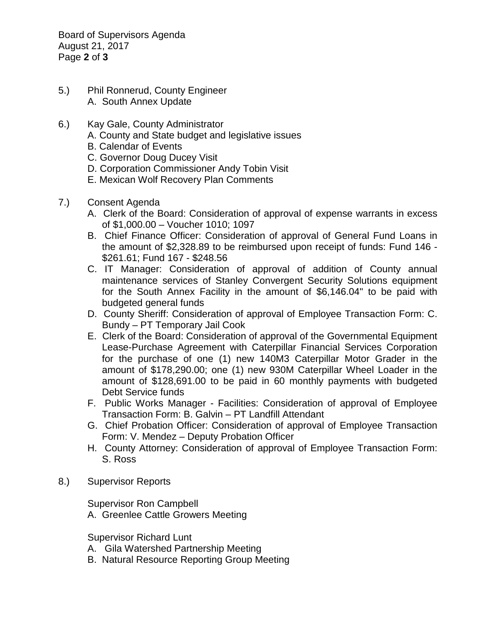Board of Supervisors Agenda August 21, 2017 Page **2** of **3**

- 5.) Phil Ronnerud, County Engineer A. South Annex Update
- 6.) Kay Gale, County Administrator
	- A. County and State budget and legislative issues
	- B. Calendar of Events
	- C. Governor Doug Ducey Visit
	- D. Corporation Commissioner Andy Tobin Visit
	- E. Mexican Wolf Recovery Plan Comments
- 7.) Consent Agenda
	- A. Clerk of the Board: Consideration of approval of expense warrants in excess of \$1,000.00 – Voucher 1010; 1097
	- B. Chief Finance Officer: Consideration of approval of General Fund Loans in the amount of \$2,328.89 to be reimbursed upon receipt of funds: Fund 146 - \$261.61; Fund 167 - \$248.56
	- C. IT Manager: Consideration of approval of addition of County annual maintenance services of Stanley Convergent Security Solutions equipment for the South Annex Facility in the amount of \$6,146.04" to be paid with budgeted general funds
	- D. County Sheriff: Consideration of approval of Employee Transaction Form: C. Bundy – PT Temporary Jail Cook
	- E. Clerk of the Board: Consideration of approval of the Governmental Equipment Lease-Purchase Agreement with Caterpillar Financial Services Corporation for the purchase of one (1) new 140M3 Caterpillar Motor Grader in the amount of \$178,290.00; one (1) new 930M Caterpillar Wheel Loader in the amount of \$128,691.00 to be paid in 60 monthly payments with budgeted Debt Service funds
	- F. Public Works Manager Facilities: Consideration of approval of Employee Transaction Form: B. Galvin – PT Landfill Attendant
	- G. Chief Probation Officer: Consideration of approval of Employee Transaction Form: V. Mendez – Deputy Probation Officer
	- H. County Attorney: Consideration of approval of Employee Transaction Form: S. Ross
- 8.) Supervisor Reports

Supervisor Ron Campbell A. Greenlee Cattle Growers Meeting

Supervisor Richard Lunt

- A. Gila Watershed Partnership Meeting
- B. Natural Resource Reporting Group Meeting